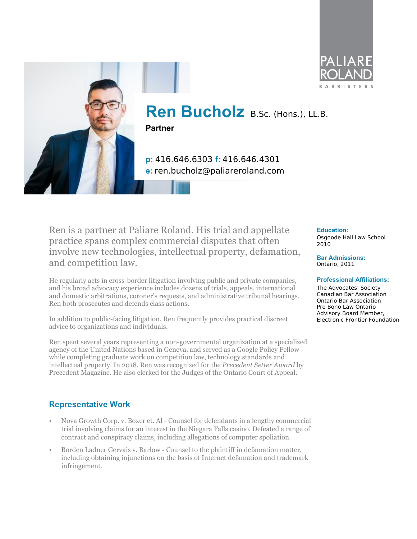



# **Ren Bucholz** B.Sc. (Hons.), LL.B.

**Partner**

**p:** 416.646.6303 **f:** 416.646.4301 **e:** ren.bucholz@paliareroland.com

Ren is a partner at Paliare Roland. His trial and appellate practice spans complex commercial disputes that often involve new technologies, intellectual property, defamation, and competition law.

He regularly acts in cross-border litigation involving public and private companies, and his broad advocacy experience includes dozens of trials, appeals, international and domestic arbitrations, coroner's requests, and administrative tribunal hearings. Ren both prosecutes and defends class actions.

In addition to public-facing litigation, Ren frequently provides practical discreet advice to organizations and individuals.

Ren spent several years representing a non-governmental organization at a specialized agency of the United Nations based in Geneva, and served as a Google Policy Fellow while completing graduate work on competition law, technology standards and intellectual property. In 2018, Ren was recognized for the *Precedent Setter Award* by Precedent Magazine. He also clerked for the Judges of the Ontario Court of Appeal.

### **Representative Work**

- Nova Growth Corp. v. Boxer et. Al Counsel for defendants in a lengthy commercial trial involving claims for an interest in the Niagara Falls casino. Defeated a range of contract and conspiracy claims, including allegations of computer spoliation.
- Borden Ladner Gervais v. Barlow Counsel to the plaintiff in defamation matter, including obtaining injunctions on the basis of Internet defamation and trademark infringement.

#### **Education:**

Osgoode Hall Law School 2010

**Bar Admissions:** Ontario, 2011

#### **Professional Affiliations:**

The Advocates' Society Canadian Bar Association Ontario Bar Association Pro Bono Law Ontario Advisory Board Member, Electronic Frontier Foundation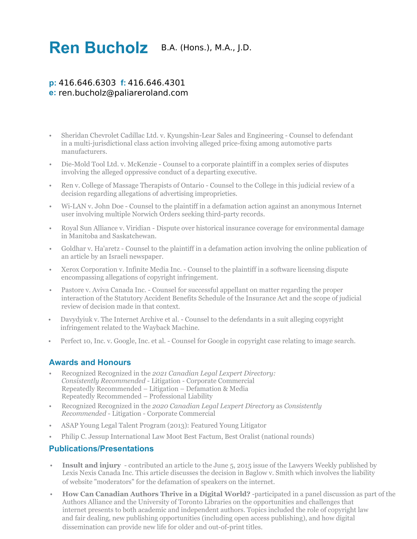## **Ren Bucholz** B.A. (Hons.), M.A., J.D.

## **p:** 416.646.6303 **f:** 416.646.4301 **e:** ren.bucholz@paliareroland.com

- Sheridan Chevrolet Cadillac Ltd. v. Kyungshin-Lear Sales and Engineering Counsel to defendant in a multi-jurisdictional class action involving alleged price-fixing among automotive parts manufacturers.
- Die-Mold Tool Ltd. v. McKenzie Counsel to a corporate plaintiff in a complex series of disputes involving the alleged oppressive conduct of a departing executive.
- Ren v. College of Massage Therapists of Ontario Counsel to the College in this judicial review of a decision regarding allegations of advertising improprieties.
- Wi-LAN v. John Doe Counsel to the plaintiff in a defamation action against an anonymous Internet user involving multiple Norwich Orders seeking third-party records.
- Royal Sun Alliance v. Viridian Dispute over historical insurance coverage for environmental damage in Manitoba and Saskatchewan.
- Goldhar v. Ha'aretz Counsel to the plaintiff in a defamation action involving the online publication of an article by an Israeli newspaper.
- Xerox Corporation v. Infinite Media Inc. Counsel to the plaintiff in a software licensing dispute encompassing allegations of copyright infringement.
- Pastore v. Aviva Canada Inc. Counsel for successful appellant on matter regarding the proper interaction of the Statutory Accident Benefits Schedule of the Insurance Act and the scope of judicial review of decision made in that context.
- Davydyiuk v. The Internet Archive et al. Counsel to the defendants in a suit alleging copyright infringement related to the Wayback Machine.
- Perfect 10, Inc. v. Google, Inc. et al. Counsel for Google in copyright case relating to image search.

### **Awards and Honours**

- Recognized Recognized in the *2021 Canadian Legal Lexpert Directory: Consistently Recommended* - Litigation - Corporate Commercial Repeatedly Recommended – Litigation – Defamation & Media Repeatedly Recommended – Professional Liability
- Recognized Recognized in the *2020 Canadian Legal Lexpert Directory* as *Consistently Recommended* - Litigation - Corporate Commercial
- ASAP Young Legal Talent Program (2013): Featured Young Litigator
- Philip C. Jessup International Law Moot Best Factum, Best Oralist (national rounds)

#### **Publications/Presentations**

- **Insult and injury** contributed an article to the June 5, 2015 issue of the Lawyers Weekly published by Lexis Nexis Canada Inc. This article discusses the decision in Baglow v. Smith which involves the liability of website "moderators" for the defamation of speakers on the internet.
- **How Can Canadian Authors Thrive in a Digital World?** -participated in a panel discussion as part of the Authors Alliance and the University of Toronto Libraries on the opportunities and challenges that internet presents to both academic and independent authors. Topics included the role of copyright law and fair dealing, new publishing opportunities (including open access publishing), and how digital dissemination can provide new life for older and out-of-print titles.